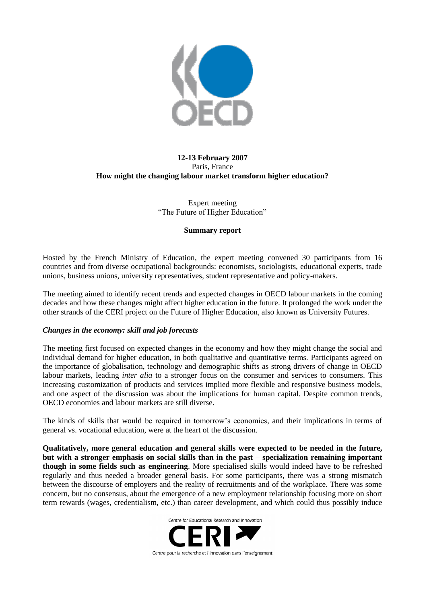

# **12-13 February 2007** Paris, France **How might the changing labour market transform higher education?**

Expert meeting "The Future of Higher Education"

### **Summary report**

Hosted by the French Ministry of Education, the expert meeting convened 30 participants from 16 countries and from diverse occupational backgrounds: economists, sociologists, educational experts, trade unions, business unions, university representatives, student representative and policy-makers.

The meeting aimed to identify recent trends and expected changes in OECD labour markets in the coming decades and how these changes might affect higher education in the future. It prolonged the work under the other strands of the CERI project on the Future of Higher Education, also known as University Futures.

## *Changes in the economy: skill and job forecasts*

The meeting first focused on expected changes in the economy and how they might change the social and individual demand for higher education, in both qualitative and quantitative terms. Participants agreed on the importance of globalisation, technology and demographic shifts as strong drivers of change in OECD labour markets, leading *inter alia* to a stronger focus on the consumer and services to consumers. This increasing customization of products and services implied more flexible and responsive business models, and one aspect of the discussion was about the implications for human capital. Despite common trends, OECD economies and labour markets are still diverse.

The kinds of skills that would be required in tomorrow"s economies, and their implications in terms of general vs. vocational education, were at the heart of the discussion.

**Qualitatively, more general education and general skills were expected to be needed in the future, but with a stronger emphasis on social skills than in the past – specialization remaining important though in some fields such as engineering**. More specialised skills would indeed have to be refreshed regularly and thus needed a broader general basis. For some participants, there was a strong mismatch between the discourse of employers and the reality of recruitments and of the workplace. There was some concern, but no consensus, about the emergence of a new employment relationship focusing more on short term rewards (wages, credentialism, etc.) than career development, and which could thus possibly induce

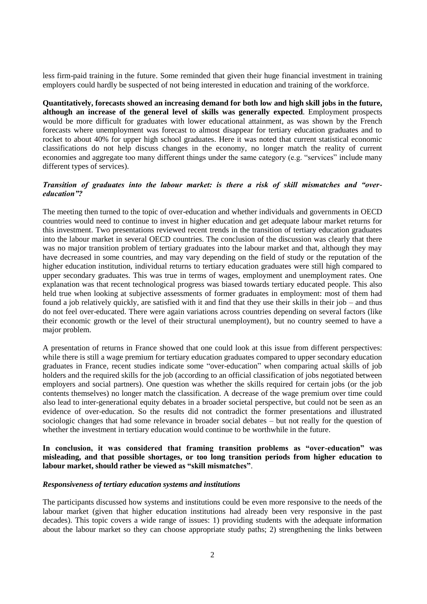less firm-paid training in the future. Some reminded that given their huge financial investment in training employers could hardly be suspected of not being interested in education and training of the workforce.

**Quantitatively, forecasts showed an increasing demand for both low and high skill jobs in the future, although an increase of the general level of skills was generally expected**. Employment prospects would be more difficult for graduates with lower educational attainment, as was shown by the French forecasts where unemployment was forecast to almost disappear for tertiary education graduates and to rocket to about 40% for upper high school graduates. Here it was noted that current statistical economic classifications do not help discuss changes in the economy, no longer match the reality of current economies and aggregate too many different things under the same category (e.g. "services" include many different types of services).

### *Transition of graduates into the labour market: is there a risk of skill mismatches and "overeducation"?*

The meeting then turned to the topic of over-education and whether individuals and governments in OECD countries would need to continue to invest in higher education and get adequate labour market returns for this investment. Two presentations reviewed recent trends in the transition of tertiary education graduates into the labour market in several OECD countries. The conclusion of the discussion was clearly that there was no major transition problem of tertiary graduates into the labour market and that, although they may have decreased in some countries, and may vary depending on the field of study or the reputation of the higher education institution, individual returns to tertiary education graduates were still high compared to upper secondary graduates. This was true in terms of wages, employment and unemployment rates. One explanation was that recent technological progress was biased towards tertiary educated people. This also held true when looking at subjective assessments of former graduates in employment: most of them had found a job relatively quickly, are satisfied with it and find that they use their skills in their job – and thus do not feel over-educated. There were again variations across countries depending on several factors (like their economic growth or the level of their structural unemployment), but no country seemed to have a major problem.

A presentation of returns in France showed that one could look at this issue from different perspectives: while there is still a wage premium for tertiary education graduates compared to upper secondary education graduates in France, recent studies indicate some "over-education" when comparing actual skills of job holders and the required skills for the job (according to an official classification of jobs negotiated between employers and social partners). One question was whether the skills required for certain jobs (or the job contents themselves) no longer match the classification. A decrease of the wage premium over time could also lead to inter-generational equity debates in a broader societal perspective, but could not be seen as an evidence of over-education. So the results did not contradict the former presentations and illustrated sociologic changes that had some relevance in broader social debates – but not really for the question of whether the investment in tertiary education would continue to be worthwhile in the future.

## **In conclusion, it was considered that framing transition problems as "over-education" was misleading, and that possible shortages, or too long transition periods from higher education to labour market, should rather be viewed as "skill mismatches"**.

#### *Responsiveness of tertiary education systems and institutions*

The participants discussed how systems and institutions could be even more responsive to the needs of the labour market (given that higher education institutions had already been very responsive in the past decades). This topic covers a wide range of issues: 1) providing students with the adequate information about the labour market so they can choose appropriate study paths; 2) strengthening the links between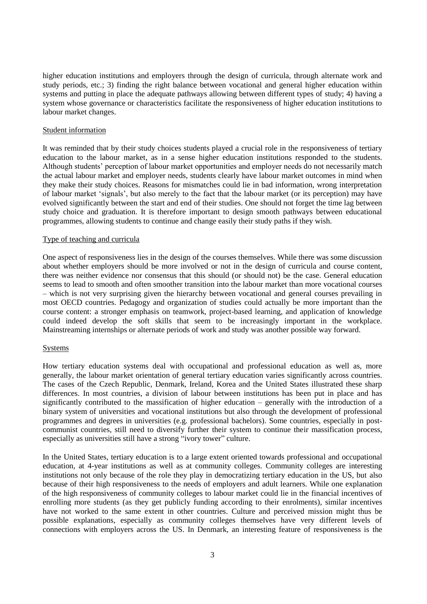higher education institutions and employers through the design of curricula, through alternate work and study periods, etc.; 3) finding the right balance between vocational and general higher education within systems and putting in place the adequate pathways allowing between different types of study; 4) having a system whose governance or characteristics facilitate the responsiveness of higher education institutions to labour market changes.

#### Student information

It was reminded that by their study choices students played a crucial role in the responsiveness of tertiary education to the labour market, as in a sense higher education institutions responded to the students. Although students" perception of labour market opportunities and employer needs do not necessarily match the actual labour market and employer needs, students clearly have labour market outcomes in mind when they make their study choices. Reasons for mismatches could lie in bad information, wrong interpretation of labour market "signals", but also merely to the fact that the labour market (or its perception) may have evolved significantly between the start and end of their studies. One should not forget the time lag between study choice and graduation. It is therefore important to design smooth pathways between educational programmes, allowing students to continue and change easily their study paths if they wish.

### Type of teaching and curricula

One aspect of responsiveness lies in the design of the courses themselves. While there was some discussion about whether employers should be more involved or not in the design of curricula and course content, there was neither evidence nor consensus that this should (or should not) be the case. General education seems to lead to smooth and often smoother transition into the labour market than more vocational courses – which is not very surprising given the hierarchy between vocational and general courses prevailing in most OECD countries. Pedagogy and organization of studies could actually be more important than the course content: a stronger emphasis on teamwork, project-based learning, and application of knowledge could indeed develop the soft skills that seem to be increasingly important in the workplace. Mainstreaming internships or alternate periods of work and study was another possible way forward.

### Systems

How tertiary education systems deal with occupational and professional education as well as, more generally, the labour market orientation of general tertiary education varies significantly across countries. The cases of the Czech Republic, Denmark, Ireland, Korea and the United States illustrated these sharp differences. In most countries, a division of labour between institutions has been put in place and has significantly contributed to the massification of higher education – generally with the introduction of a binary system of universities and vocational institutions but also through the development of professional programmes and degrees in universities (e.g. professional bachelors). Some countries, especially in postcommunist countries, still need to diversify further their system to continue their massification process, especially as universities still have a strong "ivory tower" culture.

In the United States, tertiary education is to a large extent oriented towards professional and occupational education, at 4-year institutions as well as at community colleges. Community colleges are interesting institutions not only because of the role they play in democratizing tertiary education in the US, but also because of their high responsiveness to the needs of employers and adult learners. While one explanation of the high responsiveness of community colleges to labour market could lie in the financial incentives of enrolling more students (as they get publicly funding according to their enrolments), similar incentives have not worked to the same extent in other countries. Culture and perceived mission might thus be possible explanations, especially as community colleges themselves have very different levels of connections with employers across the US. In Denmark, an interesting feature of responsiveness is the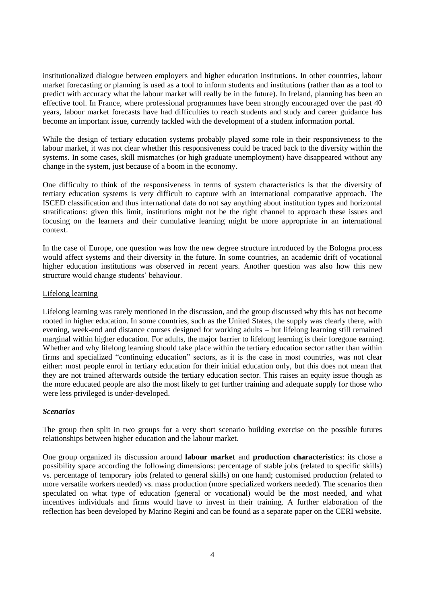institutionalized dialogue between employers and higher education institutions. In other countries, labour market forecasting or planning is used as a tool to inform students and institutions (rather than as a tool to predict with accuracy what the labour market will really be in the future). In Ireland, planning has been an effective tool. In France, where professional programmes have been strongly encouraged over the past 40 years, labour market forecasts have had difficulties to reach students and study and career guidance has become an important issue, currently tackled with the development of a student information portal.

While the design of tertiary education systems probably played some role in their responsiveness to the labour market, it was not clear whether this responsiveness could be traced back to the diversity within the systems. In some cases, skill mismatches (or high graduate unemployment) have disappeared without any change in the system, just because of a boom in the economy.

One difficulty to think of the responsiveness in terms of system characteristics is that the diversity of tertiary education systems is very difficult to capture with an international comparative approach. The ISCED classification and thus international data do not say anything about institution types and horizontal stratifications: given this limit, institutions might not be the right channel to approach these issues and focusing on the learners and their cumulative learning might be more appropriate in an international context.

In the case of Europe, one question was how the new degree structure introduced by the Bologna process would affect systems and their diversity in the future. In some countries, an academic drift of vocational higher education institutions was observed in recent years. Another question was also how this new structure would change students' behaviour.

## Lifelong learning

Lifelong learning was rarely mentioned in the discussion, and the group discussed why this has not become rooted in higher education. In some countries, such as the United States, the supply was clearly there, with evening, week-end and distance courses designed for working adults – but lifelong learning still remained marginal within higher education. For adults, the major barrier to lifelong learning is their foregone earning. Whether and why lifelong learning should take place within the tertiary education sector rather than within firms and specialized "continuing education" sectors, as it is the case in most countries, was not clear either: most people enrol in tertiary education for their initial education only, but this does not mean that they are not trained afterwards outside the tertiary education sector. This raises an equity issue though as the more educated people are also the most likely to get further training and adequate supply for those who were less privileged is under-developed.

### *Scenarios*

The group then split in two groups for a very short scenario building exercise on the possible futures relationships between higher education and the labour market.

One group organized its discussion around **labour market** and **production characteristic**s: its chose a possibility space according the following dimensions: percentage of stable jobs (related to specific skills) vs. percentage of temporary jobs (related to general skills) on one hand; customised production (related to more versatile workers needed) vs. mass production (more specialized workers needed). The scenarios then speculated on what type of education (general or vocational) would be the most needed, and what incentives individuals and firms would have to invest in their training. A further elaboration of the reflection has been developed by Marino Regini and can be found as a separate paper on the CERI website.